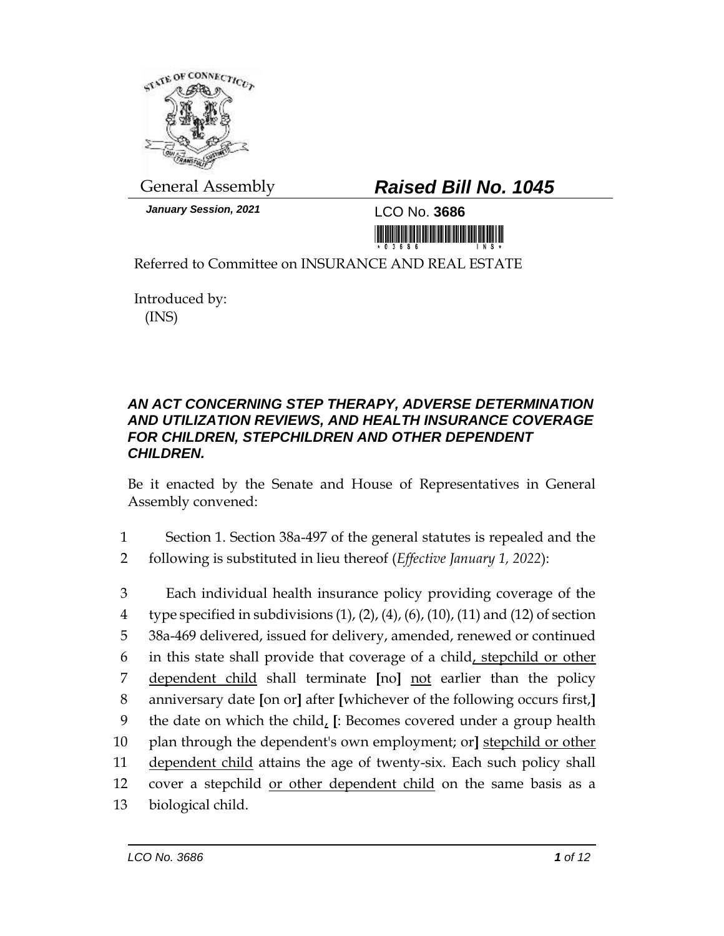

*January Session, 2021* LCO No. **3686**

## General Assembly *Raised Bill No. 1045*

<u> III MARIJI MATIJI MATIJI MATIJI MATIJI MATIJI MATIJI MATIJI MATIJI MATIJI MATIJI MATIJI MATIJI MATIJI MATIJI </u>

Referred to Committee on INSURANCE AND REAL ESTATE

Introduced by: (INS)

## *AN ACT CONCERNING STEP THERAPY, ADVERSE DETERMINATION AND UTILIZATION REVIEWS, AND HEALTH INSURANCE COVERAGE FOR CHILDREN, STEPCHILDREN AND OTHER DEPENDENT CHILDREN.*

Be it enacted by the Senate and House of Representatives in General Assembly convened:

1 Section 1. Section 38a-497 of the general statutes is repealed and the 2 following is substituted in lieu thereof (*Effective January 1, 2022*):

 Each individual health insurance policy providing coverage of the 4 type specified in subdivisions  $(1)$ ,  $(2)$ ,  $(4)$ ,  $(6)$ ,  $(10)$ ,  $(11)$  and  $(12)$  of section 38a-469 delivered, issued for delivery, amended, renewed or continued in this state shall provide that coverage of a child, stepchild or other dependent child shall terminate **[**no**]** not earlier than the policy anniversary date **[**on or**]** after **[**whichever of the following occurs first,**]** the date on which the child, **[**: Becomes covered under a group health plan through the dependent's own employment; or**]** stepchild or other dependent child attains the age of twenty-six. Each such policy shall cover a stepchild or other dependent child on the same basis as a biological child.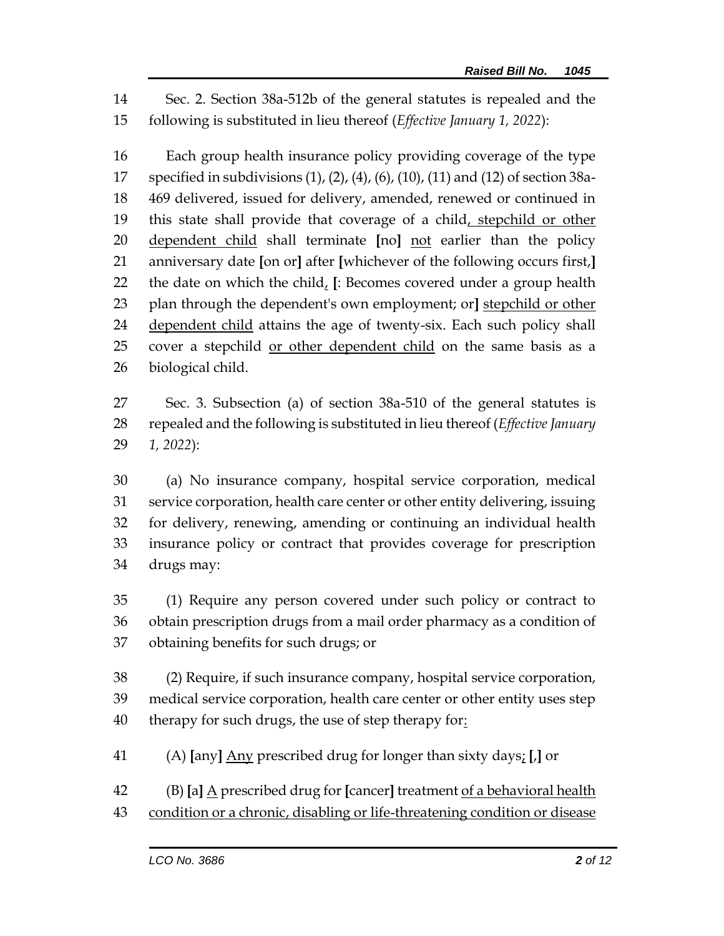Sec. 2. Section 38a-512b of the general statutes is repealed and the following is substituted in lieu thereof (*Effective January 1, 2022*):

 Each group health insurance policy providing coverage of the type specified in subdivisions (1), (2), (4), (6), (10), (11) and (12) of section 38a- 469 delivered, issued for delivery, amended, renewed or continued in 19 this state shall provide that coverage of a child, stepchild or other dependent child shall terminate **[**no**]** not earlier than the policy anniversary date **[**on or**]** after **[**whichever of the following occurs first,**]** the date on which the child, **[**: Becomes covered under a group health plan through the dependent's own employment; or**]** stepchild or other dependent child attains the age of twenty-six. Each such policy shall cover a stepchild or other dependent child on the same basis as a biological child.

 Sec. 3. Subsection (a) of section 38a-510 of the general statutes is repealed and the following is substituted in lieu thereof (*Effective January 1, 2022*):

 (a) No insurance company, hospital service corporation, medical service corporation, health care center or other entity delivering, issuing for delivery, renewing, amending or continuing an individual health insurance policy or contract that provides coverage for prescription drugs may:

 (1) Require any person covered under such policy or contract to obtain prescription drugs from a mail order pharmacy as a condition of obtaining benefits for such drugs; or

 (2) Require, if such insurance company, hospital service corporation, medical service corporation, health care center or other entity uses step 40 therapy for such drugs, the use of step therapy for:

(A) **[**any**]** Any prescribed drug for longer than sixty days; **[**,**]** or

(B) **[**a**]** A prescribed drug for **[**cancer**]** treatment of a behavioral health

condition or a chronic, disabling or life-threatening condition or disease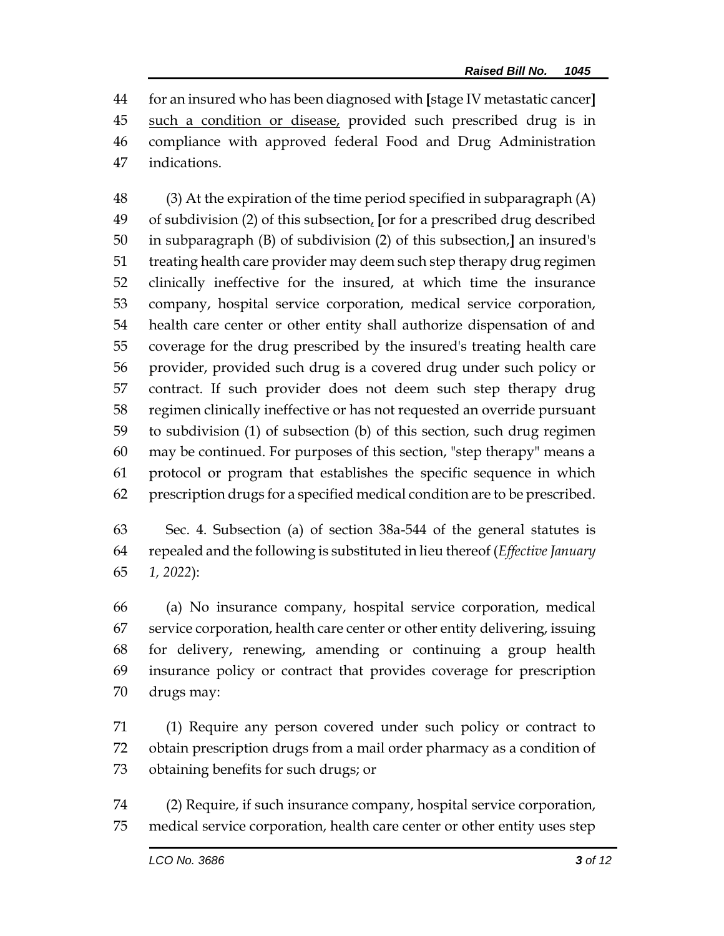for an insured who has been diagnosed with **[**stage IV metastatic cancer**]** 45 such a condition or disease, provided such prescribed drug is in compliance with approved federal Food and Drug Administration indications.

 (3) At the expiration of the time period specified in subparagraph (A) of subdivision (2) of this subsection, **[**or for a prescribed drug described in subparagraph (B) of subdivision (2) of this subsection,**]** an insured's treating health care provider may deem such step therapy drug regimen clinically ineffective for the insured, at which time the insurance company, hospital service corporation, medical service corporation, health care center or other entity shall authorize dispensation of and coverage for the drug prescribed by the insured's treating health care provider, provided such drug is a covered drug under such policy or contract. If such provider does not deem such step therapy drug regimen clinically ineffective or has not requested an override pursuant to subdivision (1) of subsection (b) of this section, such drug regimen may be continued. For purposes of this section, "step therapy" means a protocol or program that establishes the specific sequence in which prescription drugs for a specified medical condition are to be prescribed.

 Sec. 4. Subsection (a) of section 38a-544 of the general statutes is repealed and the following is substituted in lieu thereof (*Effective January 1, 2022*):

 (a) No insurance company, hospital service corporation, medical service corporation, health care center or other entity delivering, issuing for delivery, renewing, amending or continuing a group health insurance policy or contract that provides coverage for prescription drugs may:

 (1) Require any person covered under such policy or contract to obtain prescription drugs from a mail order pharmacy as a condition of obtaining benefits for such drugs; or

 (2) Require, if such insurance company, hospital service corporation, medical service corporation, health care center or other entity uses step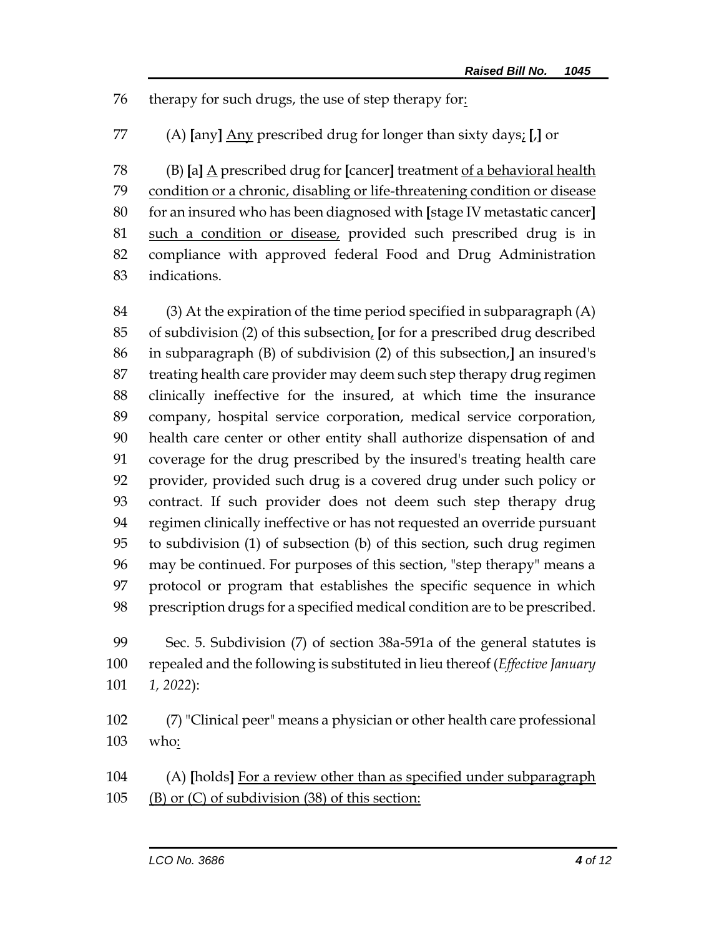therapy for such drugs, the use of step therapy for:

(A) **[**any**]** Any prescribed drug for longer than sixty days; **[**,**]** or

 (B) **[**a**]** A prescribed drug for **[**cancer**]** treatment of a behavioral health condition or a chronic, disabling or life-threatening condition or disease for an insured who has been diagnosed with **[**stage IV metastatic cancer**]** such a condition or disease, provided such prescribed drug is in compliance with approved federal Food and Drug Administration indications.

 (3) At the expiration of the time period specified in subparagraph (A) of subdivision (2) of this subsection, **[**or for a prescribed drug described in subparagraph (B) of subdivision (2) of this subsection,**]** an insured's treating health care provider may deem such step therapy drug regimen clinically ineffective for the insured, at which time the insurance company, hospital service corporation, medical service corporation, health care center or other entity shall authorize dispensation of and coverage for the drug prescribed by the insured's treating health care provider, provided such drug is a covered drug under such policy or contract. If such provider does not deem such step therapy drug regimen clinically ineffective or has not requested an override pursuant to subdivision (1) of subsection (b) of this section, such drug regimen may be continued. For purposes of this section, "step therapy" means a protocol or program that establishes the specific sequence in which prescription drugs for a specified medical condition are to be prescribed.

 Sec. 5. Subdivision (7) of section 38a-591a of the general statutes is repealed and the following is substituted in lieu thereof (*Effective January 1, 2022*):

 (7) "Clinical peer" means a physician or other health care professional who:

 (A) **[**holds**]** For a review other than as specified under subparagraph (B) or (C) of subdivision (38) of this section: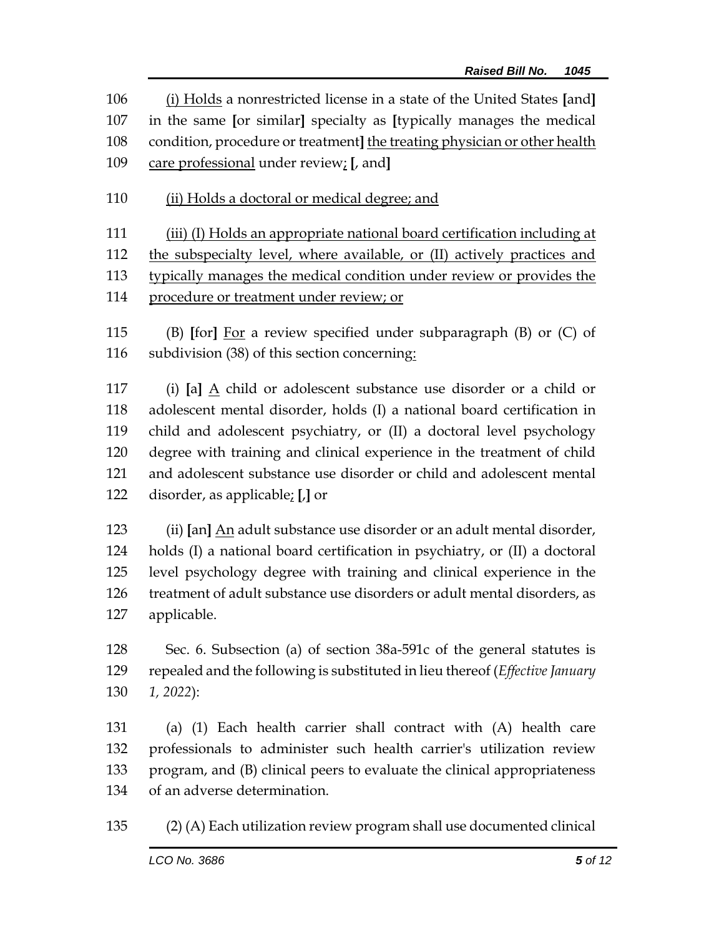(i) Holds a nonrestricted license in a state of the United States **[**and**]** in the same **[**or similar**]** specialty as **[**typically manages the medical condition, procedure or treatment**]** the treating physician or other health care professional under review; **[**, and**]**

(ii) Holds a doctoral or medical degree; and

 (iii) (I) Holds an appropriate national board certification including at the subspecialty level, where available, or (II) actively practices and typically manages the medical condition under review or provides the procedure or treatment under review; or

 (B) **[**for**]** For a review specified under subparagraph (B) or (C) of subdivision (38) of this section concerning:

 (i) **[**a**]** A child or adolescent substance use disorder or a child or adolescent mental disorder, holds (I) a national board certification in child and adolescent psychiatry, or (II) a doctoral level psychology degree with training and clinical experience in the treatment of child and adolescent substance use disorder or child and adolescent mental disorder, as applicable; **[**,**]** or

 (ii) **[**an**]** An adult substance use disorder or an adult mental disorder, holds (I) a national board certification in psychiatry, or (II) a doctoral level psychology degree with training and clinical experience in the treatment of adult substance use disorders or adult mental disorders, as applicable.

 Sec. 6. Subsection (a) of section 38a-591c of the general statutes is repealed and the following is substituted in lieu thereof (*Effective January 1, 2022*):

 (a) (1) Each health carrier shall contract with (A) health care professionals to administer such health carrier's utilization review program, and (B) clinical peers to evaluate the clinical appropriateness of an adverse determination.

(2) (A) Each utilization review program shall use documented clinical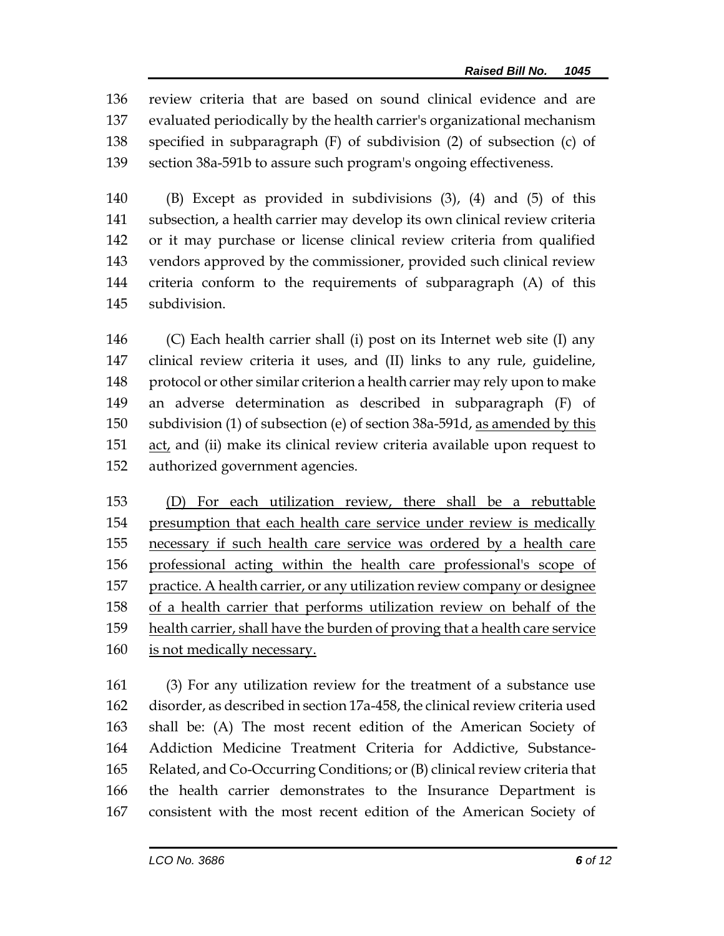review criteria that are based on sound clinical evidence and are evaluated periodically by the health carrier's organizational mechanism specified in subparagraph (F) of subdivision (2) of subsection (c) of section 38a-591b to assure such program's ongoing effectiveness.

 (B) Except as provided in subdivisions (3), (4) and (5) of this subsection, a health carrier may develop its own clinical review criteria or it may purchase or license clinical review criteria from qualified vendors approved by the commissioner, provided such clinical review criteria conform to the requirements of subparagraph (A) of this subdivision.

 (C) Each health carrier shall (i) post on its Internet web site (I) any clinical review criteria it uses, and (II) links to any rule, guideline, protocol or other similar criterion a health carrier may rely upon to make an adverse determination as described in subparagraph (F) of subdivision (1) of subsection (e) of section 38a-591d, as amended by this act, and (ii) make its clinical review criteria available upon request to authorized government agencies.

 (D) For each utilization review, there shall be a rebuttable presumption that each health care service under review is medically necessary if such health care service was ordered by a health care professional acting within the health care professional's scope of practice. A health carrier, or any utilization review company or designee of a health carrier that performs utilization review on behalf of the health carrier, shall have the burden of proving that a health care service is not medically necessary.

 (3) For any utilization review for the treatment of a substance use disorder, as described in section 17a-458, the clinical review criteria used shall be: (A) The most recent edition of the American Society of Addiction Medicine Treatment Criteria for Addictive, Substance- Related, and Co-Occurring Conditions; or (B) clinical review criteria that the health carrier demonstrates to the Insurance Department is consistent with the most recent edition of the American Society of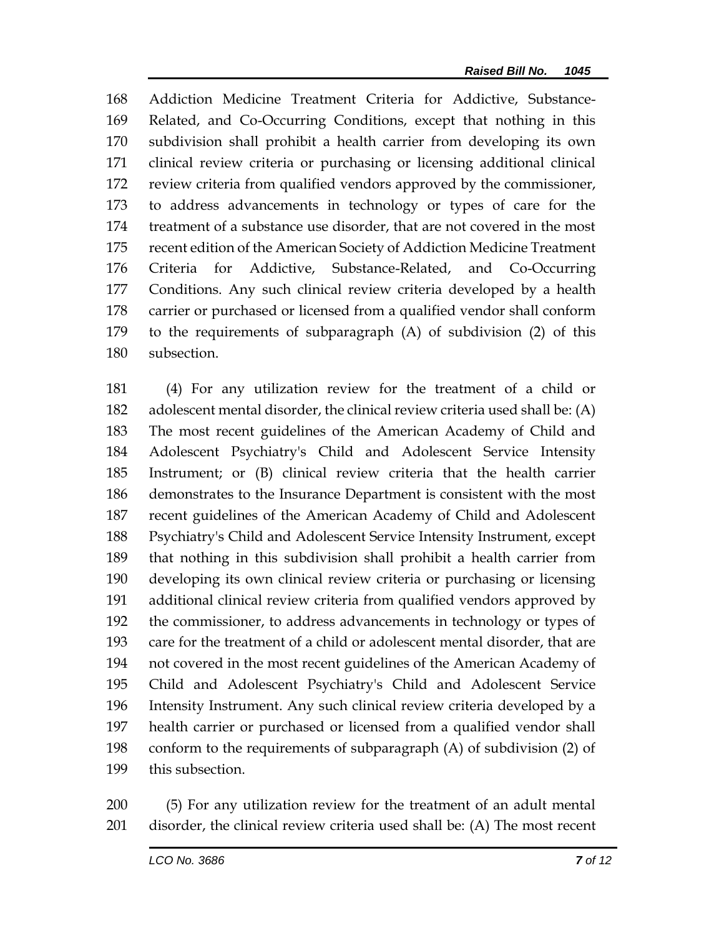Addiction Medicine Treatment Criteria for Addictive, Substance- Related, and Co-Occurring Conditions, except that nothing in this subdivision shall prohibit a health carrier from developing its own clinical review criteria or purchasing or licensing additional clinical review criteria from qualified vendors approved by the commissioner, to address advancements in technology or types of care for the treatment of a substance use disorder, that are not covered in the most recent edition of the American Society of Addiction Medicine Treatment Criteria for Addictive, Substance-Related, and Co-Occurring Conditions. Any such clinical review criteria developed by a health carrier or purchased or licensed from a qualified vendor shall conform to the requirements of subparagraph (A) of subdivision (2) of this subsection.

 (4) For any utilization review for the treatment of a child or adolescent mental disorder, the clinical review criteria used shall be: (A) The most recent guidelines of the American Academy of Child and Adolescent Psychiatry's Child and Adolescent Service Intensity Instrument; or (B) clinical review criteria that the health carrier demonstrates to the Insurance Department is consistent with the most recent guidelines of the American Academy of Child and Adolescent Psychiatry's Child and Adolescent Service Intensity Instrument, except that nothing in this subdivision shall prohibit a health carrier from developing its own clinical review criteria or purchasing or licensing additional clinical review criteria from qualified vendors approved by the commissioner, to address advancements in technology or types of care for the treatment of a child or adolescent mental disorder, that are not covered in the most recent guidelines of the American Academy of Child and Adolescent Psychiatry's Child and Adolescent Service Intensity Instrument. Any such clinical review criteria developed by a health carrier or purchased or licensed from a qualified vendor shall conform to the requirements of subparagraph (A) of subdivision (2) of this subsection.

 (5) For any utilization review for the treatment of an adult mental disorder, the clinical review criteria used shall be: (A) The most recent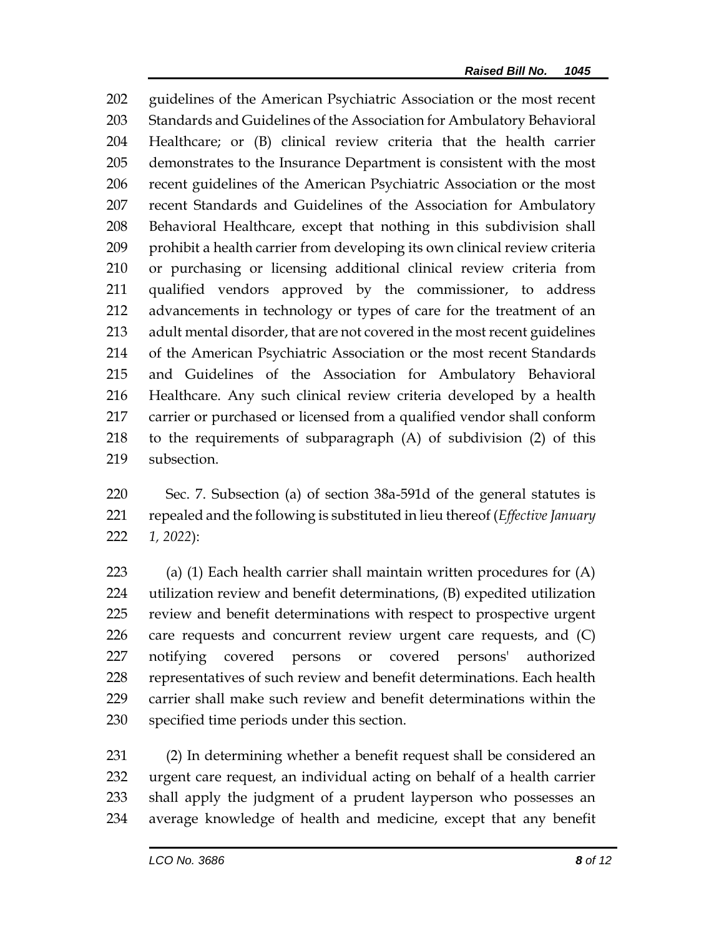guidelines of the American Psychiatric Association or the most recent Standards and Guidelines of the Association for Ambulatory Behavioral Healthcare; or (B) clinical review criteria that the health carrier demonstrates to the Insurance Department is consistent with the most recent guidelines of the American Psychiatric Association or the most recent Standards and Guidelines of the Association for Ambulatory Behavioral Healthcare, except that nothing in this subdivision shall prohibit a health carrier from developing its own clinical review criteria or purchasing or licensing additional clinical review criteria from qualified vendors approved by the commissioner, to address advancements in technology or types of care for the treatment of an adult mental disorder, that are not covered in the most recent guidelines of the American Psychiatric Association or the most recent Standards and Guidelines of the Association for Ambulatory Behavioral Healthcare. Any such clinical review criteria developed by a health carrier or purchased or licensed from a qualified vendor shall conform to the requirements of subparagraph (A) of subdivision (2) of this subsection.

 Sec. 7. Subsection (a) of section 38a-591d of the general statutes is repealed and the following is substituted in lieu thereof (*Effective January 1, 2022*):

 (a) (1) Each health carrier shall maintain written procedures for (A) utilization review and benefit determinations, (B) expedited utilization review and benefit determinations with respect to prospective urgent care requests and concurrent review urgent care requests, and (C) notifying covered persons or covered persons' authorized representatives of such review and benefit determinations. Each health carrier shall make such review and benefit determinations within the specified time periods under this section.

 (2) In determining whether a benefit request shall be considered an urgent care request, an individual acting on behalf of a health carrier shall apply the judgment of a prudent layperson who possesses an average knowledge of health and medicine, except that any benefit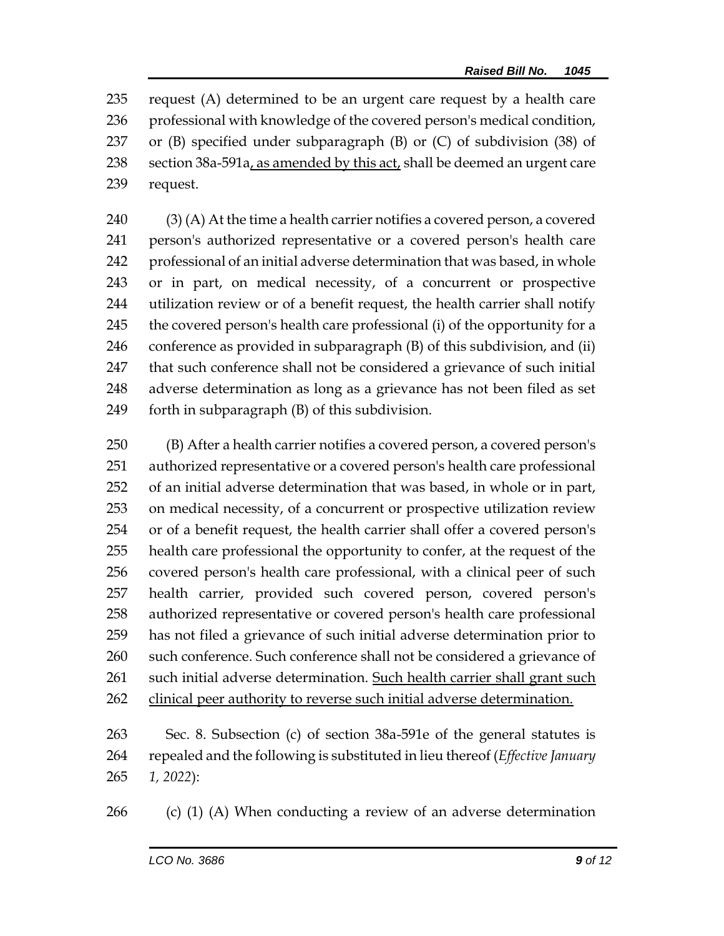request (A) determined to be an urgent care request by a health care professional with knowledge of the covered person's medical condition, or (B) specified under subparagraph (B) or (C) of subdivision (38) of section 38a-591a, as amended by this act, shall be deemed an urgent care request.

 (3) (A) At the time a health carrier notifies a covered person, a covered person's authorized representative or a covered person's health care professional of an initial adverse determination that was based, in whole or in part, on medical necessity, of a concurrent or prospective utilization review or of a benefit request, the health carrier shall notify the covered person's health care professional (i) of the opportunity for a conference as provided in subparagraph (B) of this subdivision, and (ii) that such conference shall not be considered a grievance of such initial adverse determination as long as a grievance has not been filed as set forth in subparagraph (B) of this subdivision.

 (B) After a health carrier notifies a covered person, a covered person's authorized representative or a covered person's health care professional of an initial adverse determination that was based, in whole or in part, on medical necessity, of a concurrent or prospective utilization review or of a benefit request, the health carrier shall offer a covered person's health care professional the opportunity to confer, at the request of the covered person's health care professional, with a clinical peer of such health carrier, provided such covered person, covered person's authorized representative or covered person's health care professional has not filed a grievance of such initial adverse determination prior to 260 such conference. Such conference shall not be considered a grievance of such initial adverse determination. Such health carrier shall grant such clinical peer authority to reverse such initial adverse determination.

 Sec. 8. Subsection (c) of section 38a-591e of the general statutes is repealed and the following is substituted in lieu thereof (*Effective January 1, 2022*):

(c) (1) (A) When conducting a review of an adverse determination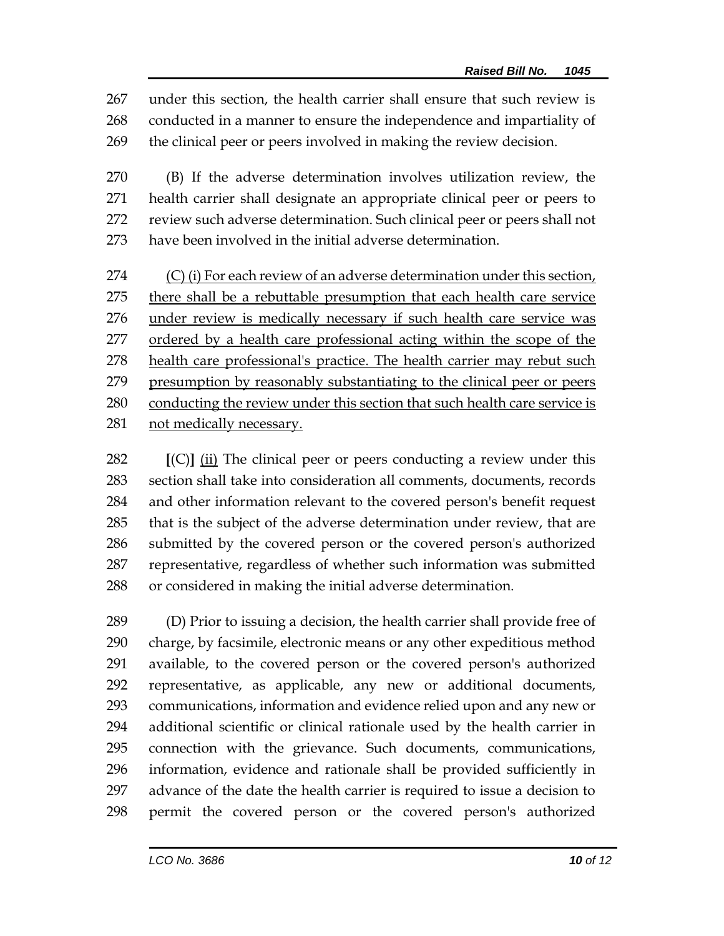under this section, the health carrier shall ensure that such review is conducted in a manner to ensure the independence and impartiality of the clinical peer or peers involved in making the review decision.

 (B) If the adverse determination involves utilization review, the health carrier shall designate an appropriate clinical peer or peers to review such adverse determination. Such clinical peer or peers shall not have been involved in the initial adverse determination.

 (C) (i) For each review of an adverse determination under this section, 275 there shall be a rebuttable presumption that each health care service under review is medically necessary if such health care service was ordered by a health care professional acting within the scope of the health care professional's practice. The health carrier may rebut such presumption by reasonably substantiating to the clinical peer or peers conducting the review under this section that such health care service is 281 not medically necessary.

 **[**(C)**]** (ii) The clinical peer or peers conducting a review under this section shall take into consideration all comments, documents, records and other information relevant to the covered person's benefit request that is the subject of the adverse determination under review, that are submitted by the covered person or the covered person's authorized representative, regardless of whether such information was submitted or considered in making the initial adverse determination.

 (D) Prior to issuing a decision, the health carrier shall provide free of charge, by facsimile, electronic means or any other expeditious method available, to the covered person or the covered person's authorized representative, as applicable, any new or additional documents, communications, information and evidence relied upon and any new or additional scientific or clinical rationale used by the health carrier in connection with the grievance. Such documents, communications, information, evidence and rationale shall be provided sufficiently in advance of the date the health carrier is required to issue a decision to permit the covered person or the covered person's authorized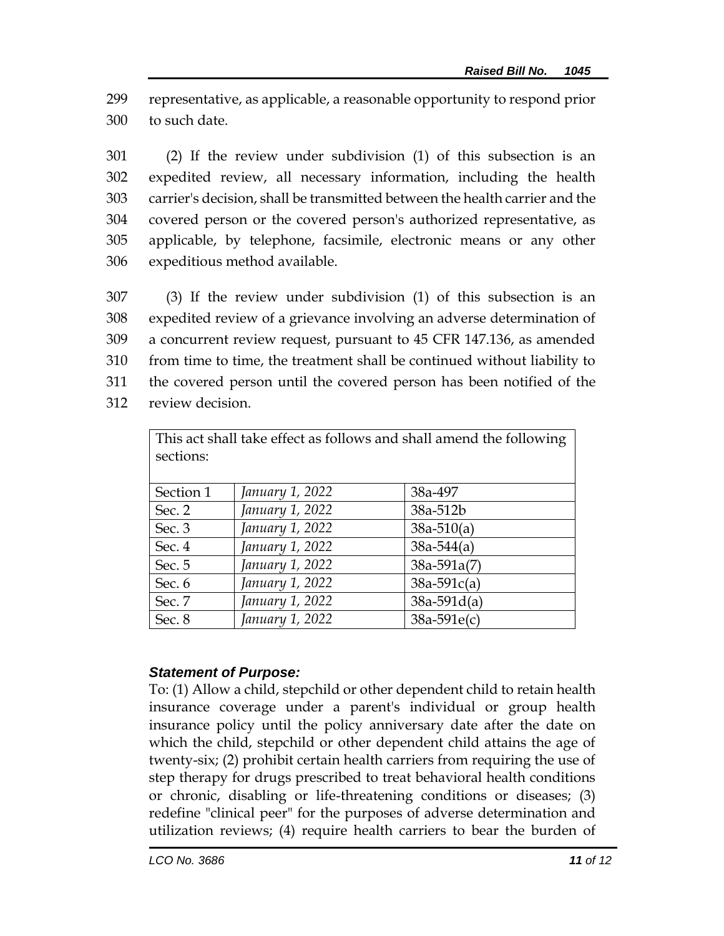299 representative, as applicable, a reasonable opportunity to respond prior 300 to such date.

 (2) If the review under subdivision (1) of this subsection is an expedited review, all necessary information, including the health carrier's decision, shall be transmitted between the health carrier and the covered person or the covered person's authorized representative, as applicable, by telephone, facsimile, electronic means or any other expeditious method available.

 (3) If the review under subdivision (1) of this subsection is an expedited review of a grievance involving an adverse determination of a concurrent review request, pursuant to 45 CFR 147.136, as amended from time to time, the treatment shall be continued without liability to the covered person until the covered person has been notified of the review decision.

| This act shall take effect as follows and shall amend the following |                 |                |
|---------------------------------------------------------------------|-----------------|----------------|
| sections:                                                           |                 |                |
|                                                                     |                 |                |
| Section 1                                                           | January 1, 2022 | 38a-497        |
| Sec. 2                                                              | January 1, 2022 | 38a-512b       |
| Sec. 3                                                              | January 1, 2022 | $38a-510(a)$   |
| Sec. 4                                                              | January 1, 2022 | $38a - 544(a)$ |
| Sec. 5                                                              | January 1, 2022 | $38a-591a(7)$  |
| Sec. 6                                                              | January 1, 2022 | $38a-591c(a)$  |
| Sec. 7                                                              | January 1, 2022 | $38a-591d(a)$  |
| Sec. 8                                                              | January 1, 2022 | $38a-591e(c)$  |

## *Statement of Purpose:*

To: (1) Allow a child, stepchild or other dependent child to retain health insurance coverage under a parent's individual or group health insurance policy until the policy anniversary date after the date on which the child, stepchild or other dependent child attains the age of twenty-six; (2) prohibit certain health carriers from requiring the use of step therapy for drugs prescribed to treat behavioral health conditions or chronic, disabling or life-threatening conditions or diseases; (3) redefine "clinical peer" for the purposes of adverse determination and utilization reviews; (4) require health carriers to bear the burden of